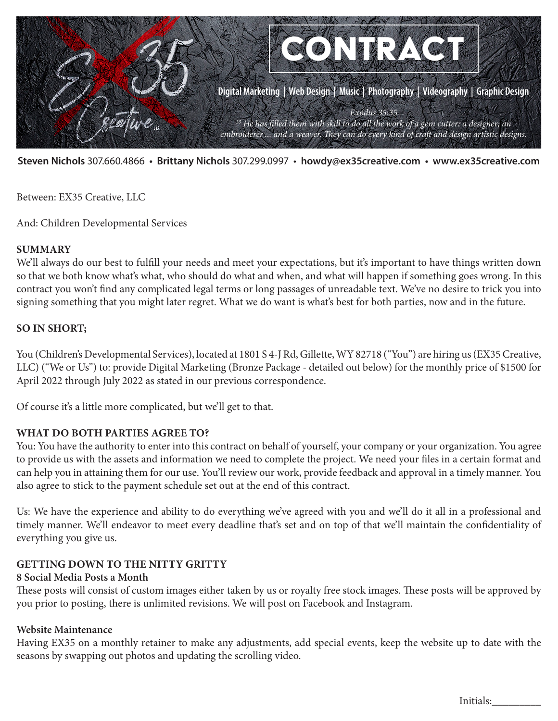

**Steven Nichols** 307.660.4866 **• Brittany Nichols** 307.299.0997 • **howdy@ex35creative.com • www.ex35creative.com**

Between: EX35 Creative, LLC

And: Children Developmental Services

#### **SUMMARY**

We'll always do our best to fulfill your needs and meet your expectations, but it's important to have things written down so that we both know what's what, who should do what and when, and what will happen if something goes wrong. In this contract you won't find any complicated legal terms or long passages of unreadable text. We've no desire to trick you into signing something that you might later regret. What we do want is what's best for both parties, now and in the future.

### **SO IN SHORT;**

You (Children's Developmental Services), located at 1801 S 4-J Rd, Gillette, WY 82718 ("You") are hiring us (EX35 Creative, LLC) ("We or Us") to: provide Digital Marketing (Bronze Package - detailed out below) for the monthly price of \$1500 for April 2022 through July 2022 as stated in our previous correspondence.

Of course it's a little more complicated, but we'll get to that.

### **WHAT DO BOTH PARTIES AGREE TO?**

You: You have the authority to enter into this contract on behalf of yourself, your company or your organization. You agree to provide us with the assets and information we need to complete the project. We need your files in a certain format and can help you in attaining them for our use. You'll review our work, provide feedback and approval in a timely manner. You also agree to stick to the payment schedule set out at the end of this contract.

Us: We have the experience and ability to do everything we've agreed with you and we'll do it all in a professional and timely manner. We'll endeavor to meet every deadline that's set and on top of that we'll maintain the confidentiality of everything you give us.

### **GETTING DOWN TO THE NITTY GRITTY**

### **8 Social Media Posts a Month**

These posts will consist of custom images either taken by us or royalty free stock images. These posts will be approved by you prior to posting, there is unlimited revisions. We will post on Facebook and Instagram.

### **Website Maintenance**

Having EX35 on a monthly retainer to make any adjustments, add special events, keep the website up to date with the seasons by swapping out photos and updating the scrolling video.

Initials:\_\_\_\_\_\_\_\_\_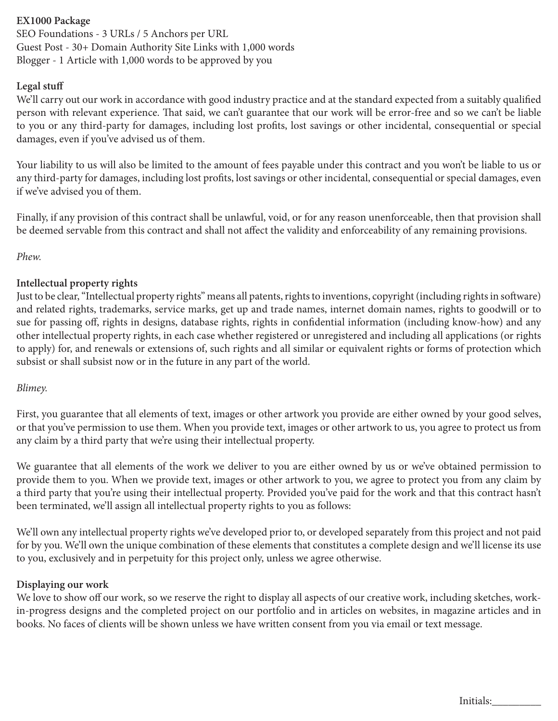# **EX1000 Package**

SEO Foundations - 3 URLs / 5 Anchors per URL Guest Post - 30+ Domain Authority Site Links with 1,000 words Blogger - 1 Article with 1,000 words to be approved by you

### **Legal stuff**

We'll carry out our work in accordance with good industry practice and at the standard expected from a suitably qualified person with relevant experience. That said, we can't guarantee that our work will be error-free and so we can't be liable to you or any third-party for damages, including lost profits, lost savings or other incidental, consequential or special damages, even if you've advised us of them.

Your liability to us will also be limited to the amount of fees payable under this contract and you won't be liable to us or any third-party for damages, including lost profits, lost savings or other incidental, consequential or special damages, even if we've advised you of them.

Finally, if any provision of this contract shall be unlawful, void, or for any reason unenforceable, then that provision shall be deemed servable from this contract and shall not affect the validity and enforceability of any remaining provisions.

*Phew.*

# **Intellectual property rights**

Just to be clear, "Intellectual property rights" means all patents, rights to inventions, copyright (including rights in software) and related rights, trademarks, service marks, get up and trade names, internet domain names, rights to goodwill or to sue for passing off, rights in designs, database rights, rights in confidential information (including know-how) and any other intellectual property rights, in each case whether registered or unregistered and including all applications (or rights to apply) for, and renewals or extensions of, such rights and all similar or equivalent rights or forms of protection which subsist or shall subsist now or in the future in any part of the world.

# *Blimey.*

First, you guarantee that all elements of text, images or other artwork you provide are either owned by your good selves, or that you've permission to use them. When you provide text, images or other artwork to us, you agree to protect us from any claim by a third party that we're using their intellectual property.

We guarantee that all elements of the work we deliver to you are either owned by us or we've obtained permission to provide them to you. When we provide text, images or other artwork to you, we agree to protect you from any claim by a third party that you're using their intellectual property. Provided you've paid for the work and that this contract hasn't been terminated, we'll assign all intellectual property rights to you as follows:

We'll own any intellectual property rights we've developed prior to, or developed separately from this project and not paid for by you. We'll own the unique combination of these elements that constitutes a complete design and we'll license its use to you, exclusively and in perpetuity for this project only, unless we agree otherwise.

# **Displaying our work**

We love to show off our work, so we reserve the right to display all aspects of our creative work, including sketches, workin-progress designs and the completed project on our portfolio and in articles on websites, in magazine articles and in books. No faces of clients will be shown unless we have written consent from you via email or text message.

Initials: